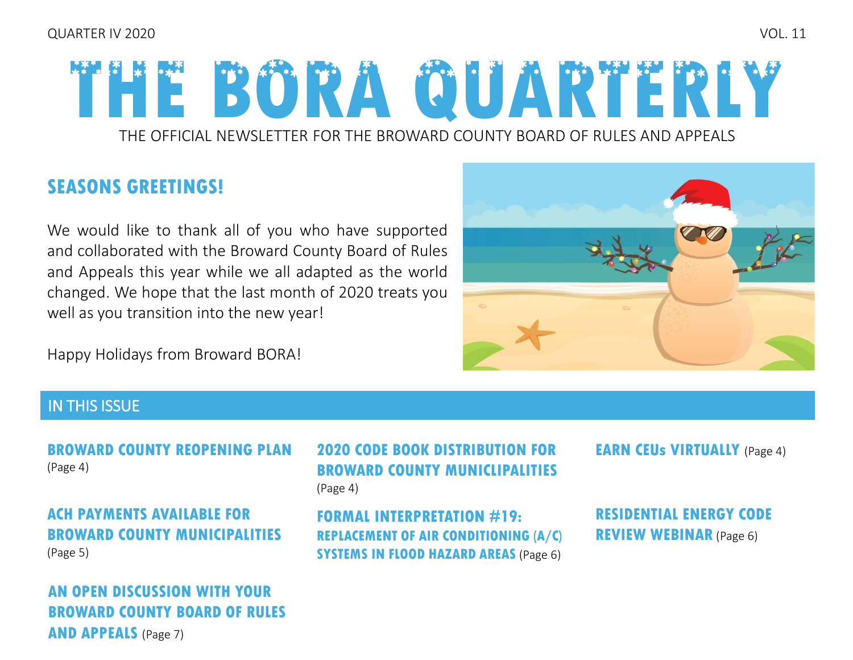# **THE BORA QUARTERLY**

THE OFFICIAL NEWSLETTER FOR THE BROWARD COUNTY BOARD OF RULES AND APPEALS

## **SEASONS GREETINGS!**

We would like to thank all of you who have supported and collaborated with the Broward County Board of Rules and Appeals this year while we all adapted as the world changed. We hope that the last month of 2020 treats you well as you transition into the new year!

Happy Holidays from Broward BORA!



#### IN THIS ISSUE

**BROWARD COUNTY REOPENING PLAN 2020 CODE BOOK DISTRIBUTION FOR EARN CEUs VIRTUALLY (Page 4)** (Page 4)

**ACH PAYMENTS AVAILABLE FOR [BROWARD COUNTY MUNICIPALITIES](#page-4-0)**  (Page 5)

**AN OPEN DISCUSSION WITH YOUR [BROWARD COUNTY BOARD OF RULES](#page-6-0)  AND APPEALS** (Page 7)

**2020 CODE BOOK DISTRIBUTION FOR BROWARD COUNTY MUNICLIPALITIES**  (Page 4)

**FORMAL INTERPRETATION #19: [REPLACEMENT OF AIR CONDITIONING \(A/C\)](#page-5-0)  SYSTEMS IN FLOOD HAZARD AREAS** (Page 6)

**[RESIDENTIAL ENERGY CODE](#page-5-0)  REVIEW WEBINAR** (Page 6)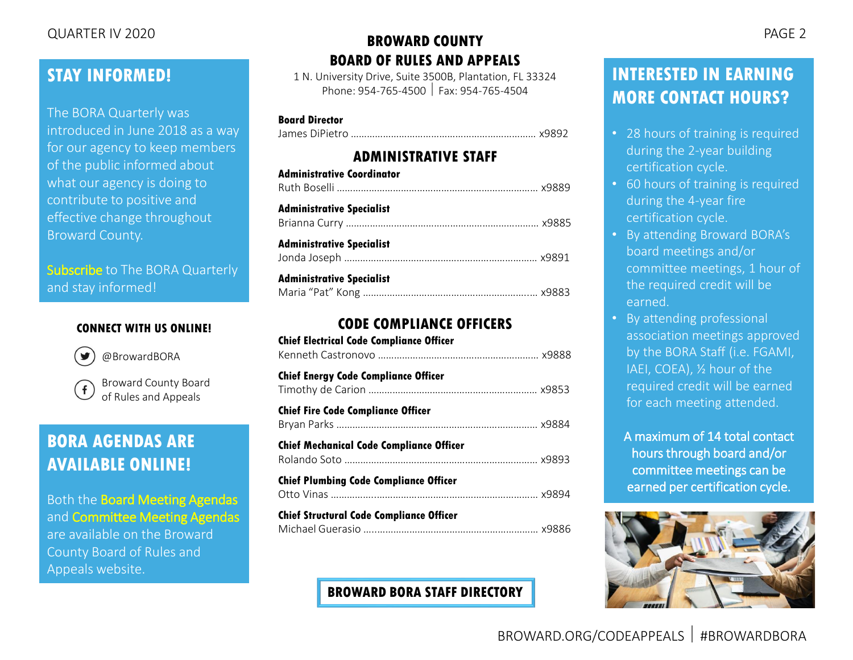### **STAY INFORMED!**

The BORA Quarterly was introduced in June 2018 as a way for our agency to keep members of the public informed about what our agency is doing to contribute to positive and effective change throughout Broward County.

[Subscribe](mailto:rulesboard@broward.org) to The BORA Quarterly and stay informed!

#### **CONNECT WITH US ONLINE!**



[@BrowardBORA](https://twitter.com/BrowardBORA)

[Broward County Board](https://www.facebook.com/BrowardBORA/)   $\mathbf{f}$ of Rules and Appeals

## **BORA AGENDAS ARE AVAILABLE ONLINE!**

Both the [Board Meeting Agendas](http://www.broward.org/CodeAppeals/Pages/BoardMeetingAgendas.aspx) and [Committee Meeting Agendas](http://www.broward.org/CodeAppeals/Pages/CommitteeMeetingAgendas.aspx) are available on the Broward County Board of Rules and Appeals website.

#### **BROWARD COUNTY BOARD OF RULES AND APPEALS** QUARTER IV 2020

1 N. University Drive, Suite 3500B, Plantation, FL 33324 Phone: 954-765-4500 Fax: 954-765-4504

#### **Board Director**

James DiPietro …………………………………………………………… x9892

#### **ADMINISTRATIVE STAFF**

| <b>Administrative Coordinator</b> |  |
|-----------------------------------|--|
| Administrative Specialist         |  |
| <b>Administrative Specialist</b>  |  |
| <b>Administrative Specialist</b>  |  |

#### **CODE COMPLIANCE OFFICERS**

| <b>Chief Electrical Code Compliance Officer</b> |  |
|-------------------------------------------------|--|
| <b>Chief Energy Code Compliance Officer</b>     |  |
| <b>Chief Fire Code Compliance Officer</b>       |  |
| <b>Chief Mechanical Code Compliance Officer</b> |  |
| <b>Chief Plumbing Code Compliance Officer</b>   |  |
| <b>Chief Structural Code Compliance Officer</b> |  |

#### **[BROWARD BORA STAFF DIRECTORY](http://www.broward.org/CodeAppeals/Pages/staffContacts.aspx)**

# **INTERESTED IN EARNING**

#### • 28 hours of training is required during the 2-year building certification cycle.

**MORE CONTACT HOURS?**

- 60 hours of training is required during the 4-year fire certification cycle.
- By attending Broward BORA's board meetings and/or committee meetings, 1 hour of the required credit will be earned.
- By attending professional association meetings approved by the BORA Staff (i.e. FGAMI, IAEI, COEA), ½ hour of the required credit will be earned for each meeting attended.
	- A maximum of 14 total contact hours through board and/or committee meetings can be earned per certification cycle.

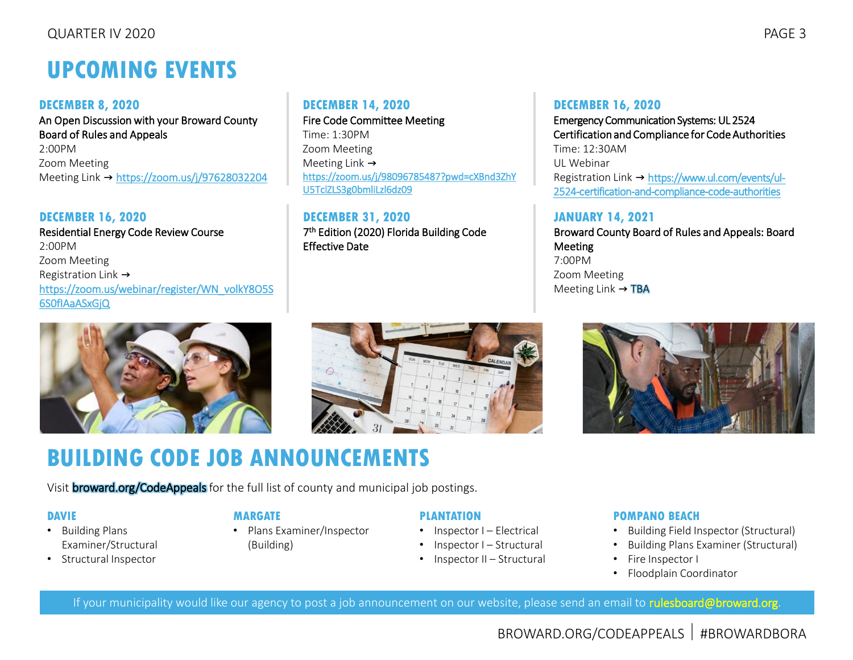# **UPCOMING EVENTS**

#### **DECEMBER 8, 2020**

An Open Discussion with your Broward County Board of Rules and Appeals 2:00PM Zoom Meeting Meeting Link → <https://zoom.us/j/97628032204>

#### **DECEMBER 16, 2020**

Residential Energy Code Review Course 2:00PM Zoom Meeting Registration Link → [https://zoom.us/webinar/register/WN\\_volkY8O5S](https://zoom.us/webinar/register/WN_volkY8O5S6S0fIAaASxGjQ) 6S0fIAaASxGjQ



#### **DECEMBER 14, 2020**

Fire Code Committee Meeting Time: 1:30PM Zoom Meeting Meeting Link  $\rightarrow$ [https://zoom.us/j/98096785487?pwd=cXBnd3ZhY](https://zoom.us/j/98096785487?pwd=cXBnd3ZhYU5TclZLS3g0bmliLzl6dz09) U5TclZLS3g0bmliLzl6dz09

**DECEMBER 31, 2020** 7 th Edition (2020) Florida Building Code Effective Date

#### **DECEMBER 16, 2020**

Emergency Communication Systems: UL 2524 Certification and Compliance for Code Authorities Time: 12:30AM UL Webinar Registration Link → https://www.ul.com/events/ul-[2524-certification-and-compliance-code-authorities](https://www.ul.com/events/ul-2524-certification-and-compliance-code-authorities)

#### **JANUARY 14, 2021**

Broward County Board of Rules and Appeals: Board Meeting 7:00PM Zoom Meeting Meeting Link  $\rightarrow$  TBA



# **BUILDING CODE JOB ANNOUNCEMENTS**

Visi[t broward.org/CodeAppeals](http://www.broward.org/CodeAppeals/Pages/JobAnnouncements.aspx) for the full list of county and municipal job postings.

#### **DAVIE**

- Building Plans Examiner/Structural
- Structural Inspector

#### **MARGATE**

• Plans Examiner/Inspector (Building)

#### **PLANTATION**

- Inspector I Electrical
- Inspector I Structural
- Inspector II Structural

#### **POMPANO BEACH**

- Building Field Inspector (Structural)
- Building Plans Examiner (Structural)
- Fire Inspector I
- Floodplain Coordinator

If your municipality would like our agency to post a job announcement on our website, please send an email to [rulesboard@broward.org.](mailto:rulesboard@broward.org)

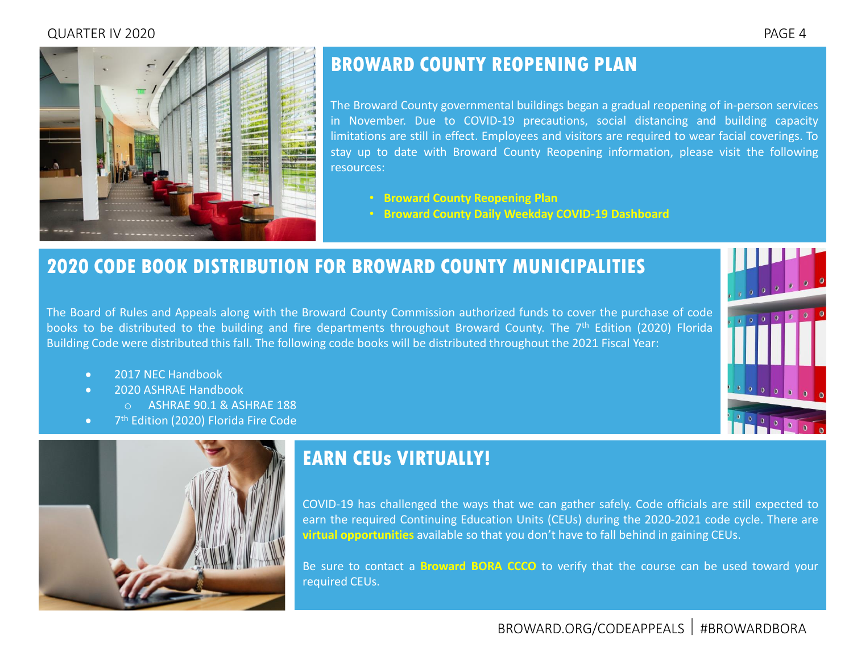#### <span id="page-3-0"></span>QUARTER IV 2020 PAGE 4



## **BROWARD COUNTY REOPENING PLAN**

The Broward County governmental buildings began a gradual reopening of in-person services in November. Due to COVID-19 precautions, social distancing and building capacity limitations are still in effect. Employees and visitors are required to wear facial coverings. To stay up to date with Broward County Reopening information, please visit the following resources:

- **[Broward County Reopening Plan](https://www.broward.org/CoronaVirus/Documents/ReopeningReportToBoard.pdf)**
- **[Broward County Daily Weekday COVID-19 Dashboard](https://www.broward.org/CoronaVirus/Documents/Aggregate-Dashboard-Latest.pdf)**

## **2020 CODE BOOK DISTRIBUTION FOR BROWARD COUNTY MUNICIPALITIES**

The Board of Rules and Appeals along with the Broward County Commission authorized funds to cover the purchase of code books to be distributed to the building and fire departments throughout Broward County. The 7<sup>th</sup> Edition (2020) Florida Building Code were distributed this fall. The following code books will be distributed throughout the 2021 Fiscal Year:

- 2017 NFC Handbook
- 2020 ASHRAE Handbook
	- o ASHRAE 90.1 & ASHRAE 188
- 7<sup>th</sup> Edition (2020) Florida Fire Code



## **EARN CEUs VIRTUALLY!**

COVID-19 has challenged the ways that we can gather safely. Code officials are still expected to earn the required Continuing Education Units (CEUs) during the 2020-2021 code cycle. There are **virtual [opportunities](https://www.broward.org/CodeAppeals/Pages/educationalSeminar.aspx)** available so that you don't have to fall behind in gaining CEUs.

Be sure to contact a **[Broward](http://www.broward.org/CodeAppeals/Pages/staffContacts.aspx) BORA CCCO** to verify that the course can be used toward your required CEUs.

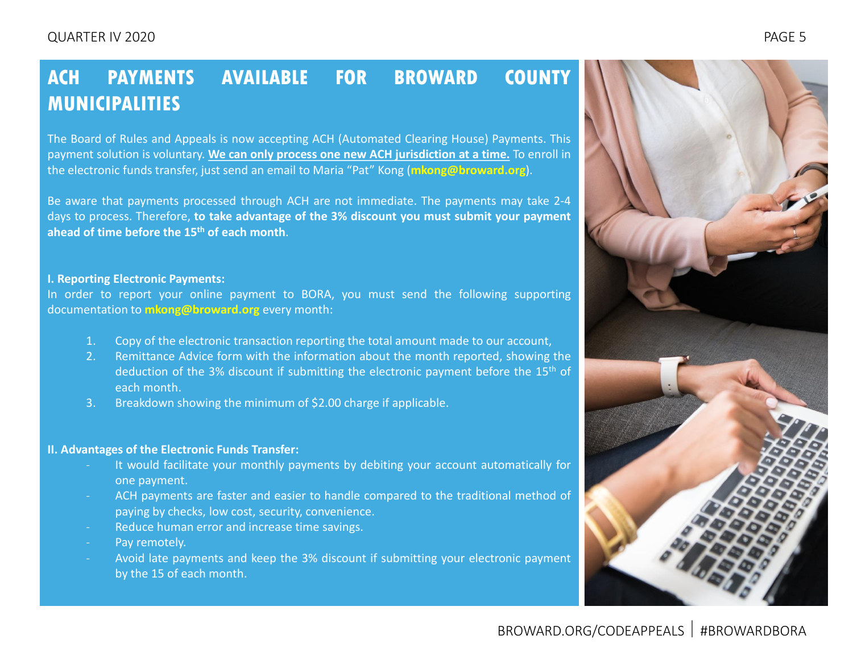## <span id="page-4-0"></span>**ACH PAYMENTS AVAILABLE FOR BROWARD COUNTY MUNICIPALITIES**

The Board of Rules and Appeals is now accepting ACH (Automated Clearing House) Payments. This payment solution is voluntary. **We can only process one new ACH jurisdiction at a time.** To enroll in the electronic funds transfer, just send an email to Maria "Pat" Kong (**[mkong@broward.org](mailto:mkong@broward.org)**).

Be aware that payments processed through ACH are not immediate. The payments may take 2-4 days to process. Therefore, **to take advantage of the 3% discount you must submit your payment ahead of time before the 15th of each month**.

#### **I. Reporting Electronic Payments:**

In order to report your online payment to BORA, you must send the following supporting documentation to **[mkong@broward.org](mailto:mkong@broward.org)** every month:

- 1. Copy of the electronic transaction reporting the total amount made to our account,
- 2. Remittance Advice form with the information about the month reported, showing the deduction of the 3% discount if submitting the electronic payment before the 15<sup>th</sup> of each month.
- 3. Breakdown showing the minimum of \$2.00 charge if applicable.

#### **II. Advantages of the Electronic Funds Transfer:**

- It would facilitate your monthly payments by debiting your account automatically for one payment.
- ACH payments are faster and easier to handle compared to the traditional method of paying by checks, low cost, security, convenience.
- Reduce human error and increase time savings.
- Pay remotely.
- Avoid late payments and keep the 3% discount if submitting your electronic payment by the 15 of each month.

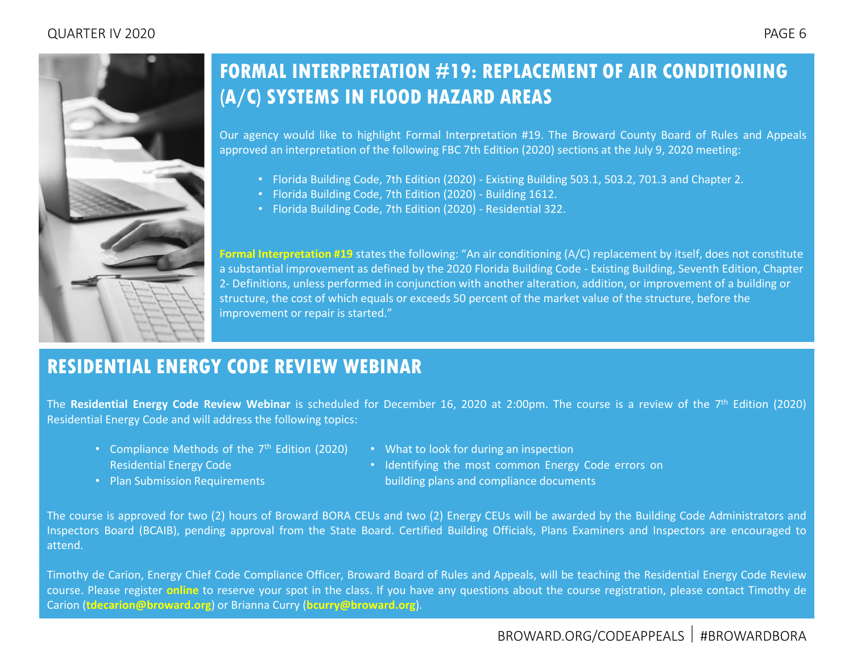<span id="page-5-0"></span>

## **FORMAL INTERPRETATION #19: REPLACEMENT OF AIR CONDITIONING (A/C) SYSTEMS IN FLOOD HAZARD AREAS**

Our agency would like to highlight Formal Interpretation #19. The Broward County Board of Rules and Appeals approved an interpretation of the following FBC 7th Edition (2020) sections at the July 9, 2020 meeting:

- Florida Building Code, 7th Edition (2020) Existing Building 503.1, 503.2, 701.3 and Chapter 2.
- Florida Building Code, 7th Edition (2020) Building 1612.
- Florida Building Code, 7th Edition (2020) Residential 322.

[Formal Interpretation #19](https://www.broward.org/CodeAppeals/Documents/FI-19.pdf) states the following: "An air conditioning (A/C) replacement by itself, does not constitute a substantial improvement as defined by the 2020 Florida Building Code - Existing Building, Seventh Edition, Chapter 2- Definitions, unless performed in conjunction with another alteration, addition, or improvement of a building or structure, the cost of which equals or exceeds 50 percent of the market value of the structure, before the improvement or repair is started."

## **RESIDENTIAL ENERGY CODE REVIEW WEBINAR**

The **Residential Energy Code Review Webinar** is scheduled for December 16, 2020 at 2:00pm. The course is a review of the 7 th Edition (2020) Residential Energy Code and will address the following topics:

- Compliance Methods of the 7<sup>th</sup> Edition (2020) Residential Energy Code
- What to look for during an inspection
- Identifying the most common Energy Code errors on building plans and compliance documents

• Plan Submission Requirements

The course is approved for two (2) hours of Broward BORA CEUs and two (2) Energy CEUs will be awarded by the Building Code Administrators and Inspectors Board (BCAIB), pending approval from the State Board. Certified Building Officials, Plans Examiners and Inspectors are encouraged to attend.

Timothy de Carion, Energy Chief Code Compliance Officer, Broward Board of Rules and Appeals, will be teaching the Residential Energy Code Review course. Please register **[online](https://zoom.us/webinar/register/WN_volkY8O5S6S0fIAaASxGjQ)** to reserve your spot in the class. If you have any questions about the course registration, please contact Timothy de Carion (**[tdecarion@broward.org](mailto:tdecarion@broward.org)**) or Brianna Curry (**[bcurry@broward.org](mailto:bcurry@broward.org)**).

#### BROWARD.ORG/CODEAPPEALS #BROWARDBORA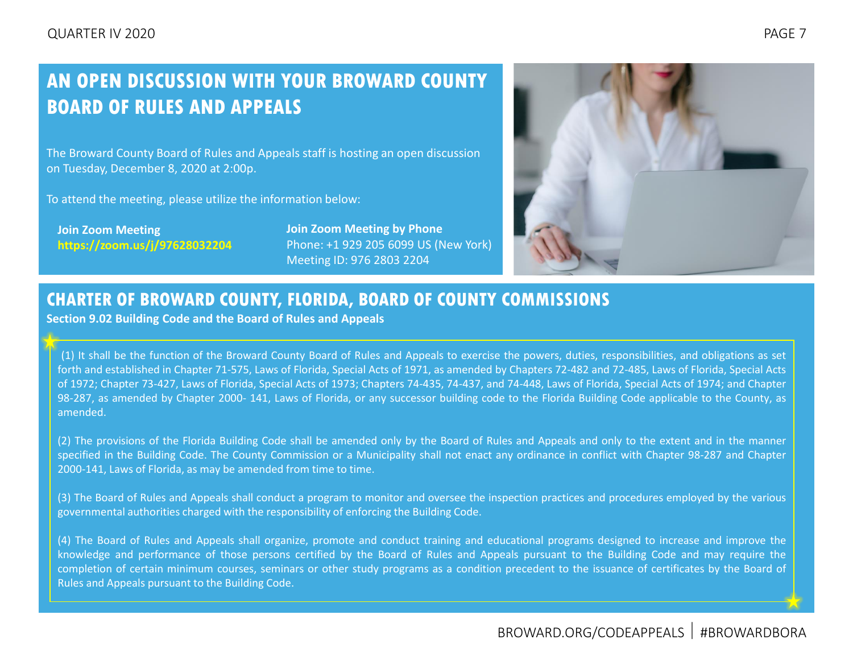## <span id="page-6-0"></span>**AN OPEN DISCUSSION WITH YOUR BROWARD COUNTY BOARD OF RULES AND APPEALS**

The Broward County Board of Rules and Appeals staff is hosting an open discussion on Tuesday, December 8, 2020 at 2:00p.

To attend the meeting, please utilize the information below:

**Join Zoom Meeting https://zoom.us/j/97628032204** **Join Zoom Meeting by Phone** Phone: +1 929 205 6099 US (New York) Meeting ID: 976 2803 2204



#### **CHARTER OF BROWARD COUNTY, FLORIDA, BOARD OF COUNTY COMMISSIONS**

**Section 9.02 Building Code and the Board of Rules and Appeals**

(1) It shall be the function of the Broward County Board of Rules and Appeals to exercise the powers, duties, responsibilities, and obligations as set forth and established in Chapter 71-575, Laws of Florida, Special Acts of 1971, as amended by Chapters 72-482 and 72-485, Laws of Florida, Special Acts of 1972; Chapter 73-427, Laws of Florida, Special Acts of 1973; Chapters 74-435, 74-437, and 74-448, Laws of Florida, Special Acts of 1974; and Chapter 98-287, as amended by Chapter 2000- 141, Laws of Florida, or any successor building code to the Florida Building Code applicable to the County, as amended.

(2) The provisions of the Florida Building Code shall be amended only by the Board of Rules and Appeals and only to the extent and in the manner specified in the Building Code. The County Commission or a Municipality shall not enact any ordinance in conflict with Chapter 98-287 and Chapter 2000-141, Laws of Florida, as may be amended from time to time.

(3) The Board of Rules and Appeals shall conduct a program to monitor and oversee the inspection practices and procedures employed by the various governmental authorities charged with the responsibility of enforcing the Building Code.

(4) The Board of Rules and Appeals shall organize, promote and conduct training and educational programs designed to increase and improve the knowledge and performance of those persons certified by the Board of Rules and Appeals pursuant to the Building Code and may require the completion of certain minimum courses, seminars or other study programs as a condition precedent to the issuance of certificates by the Board of Rules and Appeals pursuant to the Building Code.